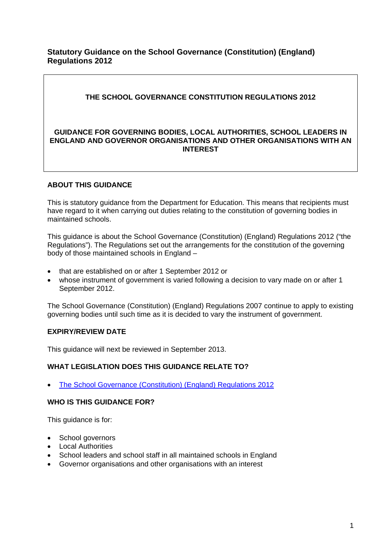## **Statutory Guidance on the School Governance (Constitution) (England) Regulations 2012**

# **THE SCHOOL GOVERNANCE CONSTITUTION REGULATIONS 2012**

### **GUIDANCE FOR GOVERNING BODIES, LOCAL AUTHORITIES, SCHOOL LEADERS IN ENGLAND AND GOVERNOR ORGANISATIONS AND OTHER ORGANISATIONS WITH AN INTEREST**

# **ABOUT THIS GUIDANCE**

This is statutory guidance from the Department for Education. This means that recipients must have regard to it when carrying out duties relating to the constitution of governing bodies in maintained schools.

This guidance is about the School Governance (Constitution) (England) Regulations 2012 ("the Regulations"). The Regulations set out the arrangements for the constitution of the governing body of those maintained schools in England –

- that are established on or after 1 September 2012 or
- whose instrument of government is varied following a decision to vary made on or after 1 September 2012.

The School Governance (Constitution) (England) Regulations 2007 continue to apply to existing governing bodies until such time as it is decided to vary the instrument of government.

# **EXPIRY/REVIEW DATE**

This guidance will next be reviewed in September 2013.

#### **WHAT LEGISLATION DOES THIS GUIDANCE RELATE TO?**

• [The School Governance \(Constitution\) \(England\) Regulations 2012](http://www.legislation.gov.uk/uksi/2012/1034/contents/made)

#### **WHO IS THIS GUIDANCE FOR?**

This guidance is for:

- School governors
- Local Authorities
- School leaders and school staff in all maintained schools in England
- Governor organisations and other organisations with an interest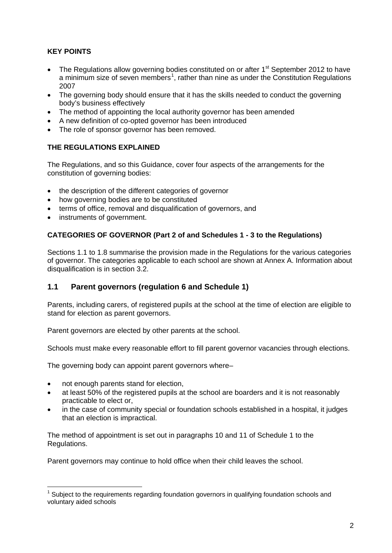# **KEY POINTS**

- The Regulations allow governing bodies constituted on or after 1<sup>st</sup> September 2012 to have a minimum size of seven members<sup>[1](#page-1-0)</sup>, rather than nine as under the Constitution Regulations 2007
- The governing body should ensure that it has the skills needed to conduct the governing body's business effectively
- The method of appointing the local authority governor has been amended
- A new definition of co-opted governor has been introduced
- The role of sponsor governor has been removed.

# **THE REGULATIONS EXPLAINED**

The Regulations, and so this Guidance, cover four aspects of the arrangements for the constitution of governing bodies:

- the description of the different categories of governor
- how governing bodies are to be constituted
- terms of office, removal and disqualification of governors, and
- instruments of government.

# **CATEGORIES OF GOVERNOR (Part 2 of and Schedules 1 - 3 to the Regulations)**

Sections 1.1 to 1.8 summarise the provision made in the Regulations for the various categories of governor. The categories applicable to each school are shown at Annex A. Information about disqualification is in section 3.2.

# **1.1 Parent governors (regulation 6 and Schedule 1)**

Parents, including carers, of registered pupils at the school at the time of election are eligible to stand for election as parent governors.

Parent governors are elected by other parents at the school.

Schools must make every reasonable effort to fill parent governor vacancies through elections.

The governing body can appoint parent governors where–

- not enough parents stand for election,
- at least 50% of the registered pupils at the school are boarders and it is not reasonably practicable to elect or,
- in the case of community special or foundation schools established in a hospital, it judges that an election is impractical.

The method of appointment is set out in paragraphs 10 and 11 of Schedule 1 to the Regulations.

Parent governors may continue to hold office when their child leaves the school.

<span id="page-1-0"></span><sup>&</sup>lt;sup>1</sup> Subject to the requirements regarding foundation governors in qualifying foundation schools and voluntary aided schools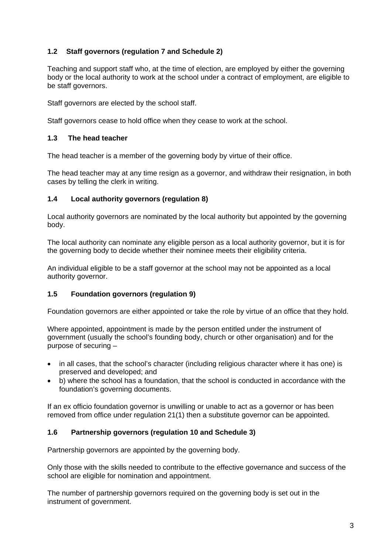# **1.2 Staff governors (regulation 7 and Schedule 2)**

Teaching and support staff who, at the time of election, are employed by either the governing body or the local authority to work at the school under a contract of employment, are eligible to be staff governors.

Staff governors are elected by the school staff.

Staff governors cease to hold office when they cease to work at the school.

## **1.3 The head teacher**

The head teacher is a member of the governing body by virtue of their office.

The head teacher may at any time resign as a governor, and withdraw their resignation, in both cases by telling the clerk in writing.

### **1.4 Local authority governors (regulation 8)**

Local authority governors are nominated by the local authority but appointed by the governing body.

The local authority can nominate any eligible person as a local authority governor, but it is for the governing body to decide whether their nominee meets their eligibility criteria.

An individual eligible to be a staff governor at the school may not be appointed as a local authority governor.

#### **1.5 Foundation governors (regulation 9)**

Foundation governors are either appointed or take the role by virtue of an office that they hold.

Where appointed, appointment is made by the person entitled under the instrument of government (usually the school's founding body, church or other organisation) and for the purpose of securing –

- in all cases, that the school's character (including religious character where it has one) is preserved and developed; and
- b) where the school has a foundation, that the school is conducted in accordance with the foundation's governing documents.

If an ex officio foundation governor is unwilling or unable to act as a governor or has been removed from office under regulation 21(1) then a substitute governor can be appointed.

#### **1.6 Partnership governors (regulation 10 and Schedule 3)**

Partnership governors are appointed by the governing body.

Only those with the skills needed to contribute to the effective governance and success of the school are eligible for nomination and appointment.

The number of partnership governors required on the governing body is set out in the instrument of government.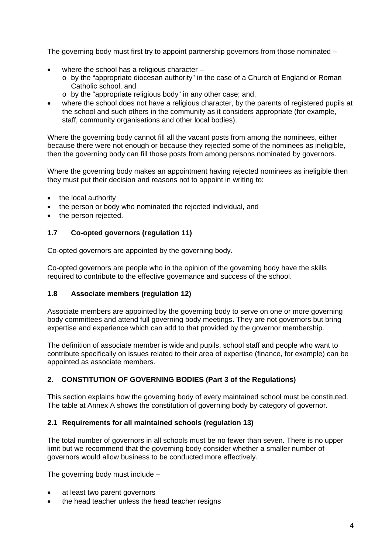The governing body must first try to appoint partnership governors from those nominated –

- where the school has a religious character  $-$ 
	- $\circ$  by the "appropriate diocesan authority" in the case of a Church of England or Roman Catholic school, and
	- o by the "appropriate religious body" in any other case; and,
- where the school does not have a religious character, by the parents of registered pupils at the school and such others in the community as it considers appropriate (for example, staff, community organisations and other local bodies).

Where the governing body cannot fill all the vacant posts from among the nominees, either because there were not enough or because they rejected some of the nominees as ineligible, then the governing body can fill those posts from among persons nominated by governors.

Where the governing body makes an appointment having rejected nominees as ineligible then they must put their decision and reasons not to appoint in writing to:

- the local authority
- the person or body who nominated the rejected individual, and
- the person rejected.

## **1.7 Co-opted governors (regulation 11)**

Co-opted governors are appointed by the governing body.

Co-opted governors are people who in the opinion of the governing body have the skills required to contribute to the effective governance and success of the school.

#### **1.8 Associate members (regulation 12)**

Associate members are appointed by the governing body to serve on one or more governing body committees and attend full governing body meetings. They are not governors but bring expertise and experience which can add to that provided by the governor membership.

The definition of associate member is wide and pupils, school staff and people who want to contribute specifically on issues related to their area of expertise (finance, for example) can be appointed as associate members.

# **2. CONSTITUTION OF GOVERNING BODIES (Part 3 of the Regulations)**

This section explains how the governing body of every maintained school must be constituted. The table at Annex A shows the constitution of governing body by category of governor.

#### **2.1 Requirements for all maintained schools (regulation 13)**

The total number of governors in all schools must be no fewer than seven. There is no upper limit but we recommend that the governing body consider whether a smaller number of governors would allow business to be conducted more effectively.

The governing body must include –

- at least two parent governors
- the head teacher unless the head teacher resigns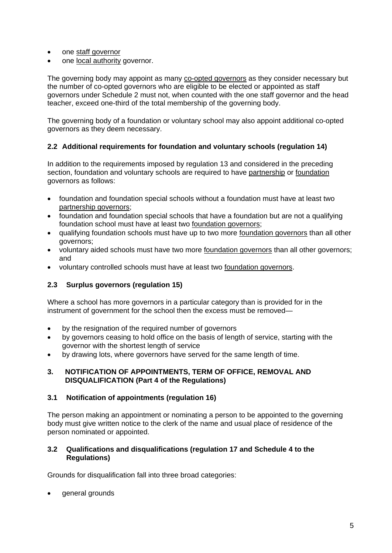- one staff governor
- one local authority governor.

The governing body may appoint as many co-opted governors as they consider necessary but the number of co-opted governors who are eligible to be elected or appointed as staff governors under Schedule 2 must not, when counted with the one staff governor and the head teacher, exceed one-third of the total membership of the governing body.

The governing body of a foundation or voluntary school may also appoint additional co-opted governors as they deem necessary.

## **2.2 Additional requirements for foundation and voluntary schools (regulation 14)**

In addition to the requirements imposed by regulation 13 and considered in the preceding section, foundation and voluntary schools are required to have partnership or foundation governors as follows:

- foundation and foundation special schools without a foundation must have at least two partnership governors ;
- foundation and foundation special schools that have a foundation but are not a qualifying foundation school must have at least two <u>foundation governors</u>;
- qualifying foundation schools must have up to two more foundation governors than all other governors;
- voluntary aided schools must have two more foundation governors than all other governors; and
- voluntary controlled schools must have at least two foundation governors.

# **2.3 Surplus governors (regulation 15)**

Where a school has more governors in a particular category than is provided for in the instrument of government for the school then the excess must be removed—

- by the resignation of the required number of governors
- by governors ceasing to hold office on the basis of length of service, starting with the governor with the shortest length of service
- by drawing lots, where governors have served for the same length of time.

#### **3. NOTIFICATION OF APPOINTMENTS, TERM OF OFFICE, REMOVAL AND DISQUALIFICATION (Part 4 of the Regulations)**

# **3.1 Notification of appointments (regulation 16)**

The person making an appointment or nominating a person to be appointed to the governing body must give written notice to the clerk of the name and usual place of residence of the person nominated or appointed.

#### **3.2 Qualifications and disqualifications (regulation 17 and Schedule 4 to the Regulations)**

Grounds for disqualification fall into three broad categories:

general grounds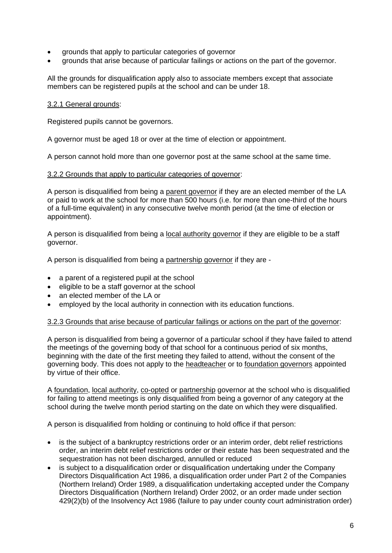- grounds that apply to particular categories of governor
- grounds that arise because of particular failings or actions on the part of the governor.

All the grounds for disqualification apply also to associate members except that associate members can be registered pupils at the school and can be under 18.

### 3.2.1 General grounds :

Registered pupils cannot be governors.

A governor must be aged 18 or over at the time of election or appointment.

A person cannot hold more than one governor post at the same school at the same time.

### 3.2.2 Grounds that apply to particular categories of governor :

A person is disqualified from being a <u>parent governor</u> if they are an elected member of the LA or paid to work at the school for more than 500 hours (i.e. for more than one-third of the hours of a full-time equivalent) in any consecutive twelve month period (at the time of election or appointment).

A person is disqualified from being a local authority governor if they are eligible to be a staff governor.

A person is disqualified from being a <u>partnership governor</u> if they are -

- a parent of a registered pupil at the school
- eligible to be a staff governor at the school
- an elected member of the LA or
- employed by the local authority in connection with its education functions.

### 3.2.3 Grounds that arise because of particular failings or actions on the part of the governor :

A person is disqualified from being a governor of a particular school if they have failed to attend the meetings of the governing body of that school for a continuous period of six months, beginning with the date of the first meeting they failed to attend, without the consent of the governing body. This does not apply to the <u>headteacher</u> or to <u>foundation governors</u> appointed by virtue of their office.

A foundation, local authority, co-opted or partnership governor at the school who is disqualified for failing to attend meetings is only disqualified from being a governor of any category at the school during the twelve month period starting on the date on which they were disqualified.

A person is disqualified from holding or continuing to hold office if that person:

- is the subject of a bankruptcy restrictions order or an interim order, debt relief restrictions order, an interim debt relief restrictions order or their estate has been sequestrated and the sequestration has not been discharged, annulled or reduced
- is subject to a disqualification order or disqualification undertaking under the Company Directors Disqualification Act 1986, a disqualification order under Part 2 of the Companies (Northern Ireland) Order 1989, a disqualification undertaking accepted under the Company Directors Disqualification (Northern Ireland) Order 2002, or an order made under section 429(2)(b) of the Insolvency Act 1986 (failure to pay under county court administration order)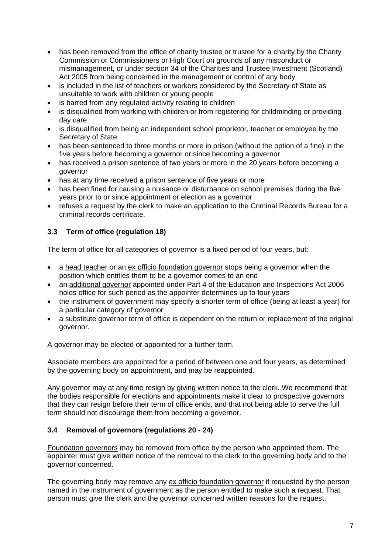- has been removed from the office of charity trustee or trustee for a charity by the Charity Commission or Commissioners or High Court on grounds of any misconduct or mismanagement**,** or under section 34 of the Charities and Trustee Investment (Scotland) Act 2005 from being concerned in the management or control of any body
- is included in the list of teachers or workers considered by the Secretary of State as unsuitable to work with children or young people
- is barred from any regulated activity relating to children
- is disqualified from working with children or from registering for childminding or providing day care
- is disqualified from being an independent school proprietor, teacher or employee by the Secretary of State
- has been sentenced to three months or more in prison (without the option of a fine) in the five years before becoming a governor or since becoming a governor
- has received a prison sentence of two years or more in the 20 years before becoming a governor
- has at any time received a prison sentence of five years or more
- has been fined for causing a nuisance or disturbance on school premises during the five years prior to or since appointment or election as a governor
- refuses a request by the clerk to make an application to the Criminal Records Bureau for a criminal records certificate.

# **3.3 Term of office (regulation 18)**

The term of office for all categories of governor is a fixed period of four years, but:

- a head teacher or an ex officio foundation governor stops being a governor when the position which entitles them to be a governor comes to an end
- an additional governor appointed under Part 4 of the Education and Inspections Act 2006 holds office for such period as the appointer determines up to four years
- the instrument of government may specify a shorter term of office (being at least a year) for a particular category of governor
- a substitute governor term of office is dependent on the return or replacement of the original governor.

A governor may be elected or appointed for a further term.

Associate members are appointed for a period of between one and four years, as determined by the governing body on appointment, and may be reappointed.

Any governor may at any time resign by giving written notice to the clerk. We recommend that the bodies responsible for elections and appointments make it clear to prospective governors that they can resign before their term of office ends, and that not being able to serve the full term should not discourage them from becoming a governor.

# **3.4 Removal of governors (regulations 20 - 24)**

Foundation governors may be removed from office by the person who appointed them. The appointer must give written notice of the removal to the clerk to the governing body and to the governor concerned.

The governing body may remove any ex officio foundation governor if requested by the person named in the instrument of government as the person entitled to make such a request. That person must give the clerk and the governor concerned written reasons for the request.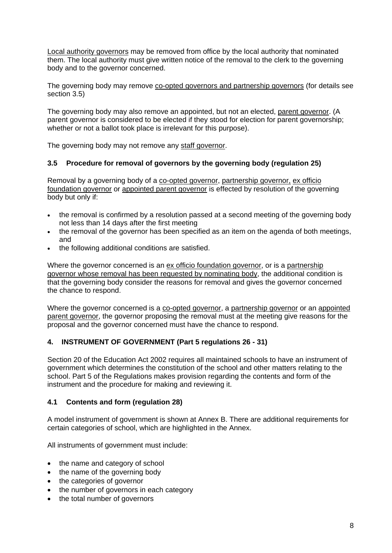Local authority governors may be removed from office by the local authority that nominated them. The local authority must give written notice of the removal to the clerk to the governing body and to the governor concerned.

The governing body may remove co-opted governors and partnership governors (for details see section 3.5)

The governing body may also remove an appointed, but not an elected, parent governor. (A parent governor is considered to be elected if they stood for election for parent governorship; whether or not a ballot took place is irrelevant for this purpose).

The governing body may not remove any staff governor.

## **3.5 Procedure for removal of governors by the governing body (regulation 25)**

Removal by a governing body of a co-opted governor, partnership governor, ex officio foundation governor or appointed parent governor is effected by resolution of the governing body but only if:

- the removal is confirmed by a resolution passed at a second meeting of the governing body not less than 14 days after the first meeting
- the removal of the governor has been specified as an item on the agenda of both meetings, and
- the following additional conditions are satisfied.

Where the governor concerned is an ex officio foundation governor, or is a partnership governor whose removal has been requested by nominating body, the additional condition is that the governing body consider the reasons for removal and gives the governor concerned the chance to respond.

Where the governor concerned is a co-opted governor, a partnership governor or an appointed parent governor, the governor proposing the removal must at the meeting give reasons for the proposal and the governor concerned must have the chance to respond.

# **4. INSTRUMENT OF GOVERNMENT (Part 5 regulations 26 - 31)**

Section 20 of the Education Act 2002 requires all maintained schools to have an instrument of government which determines the constitution of the school and other matters relating to the school. Part 5 of the Regulations makes provision regarding the contents and form of the instrument and the procedure for making and reviewing it.

#### **4.1 Contents and form (regulation 28)**

A model instrument of government is shown at Annex B. There are additional requirements for certain categories of school, which are highlighted in the Annex.

All instruments of government must include:

- the name and category of school
- the name of the governing body
- the categories of governor
- the number of governors in each category
- the total number of governors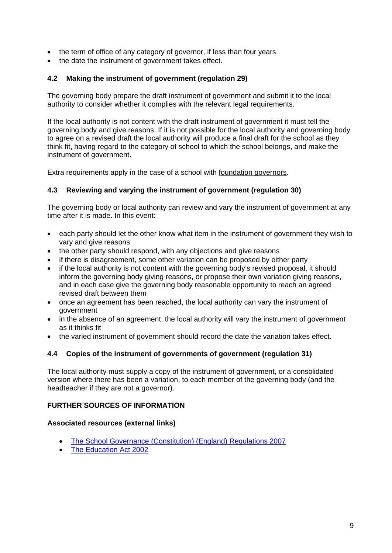- the term of office of any category of governor, if less than four years
- the date the instrument of government takes effect.

## **4.2 Making the instrument of government (regulation 29)**

The governing body prepare the draft instrument of government and submit it to the local authority to consider whether it complies with the relevant legal requirements.

If the local authority is not content with the draft instrument of government it must tell the governing body and give reasons. If it is not possible for the local authority and governing body to agree on a revised draft the local authority will produce a final draft for the school as they think fit, having regard to the category of school to which the school belongs, and make the instrument of government.

Extra requirements apply in the case of a school with foundation governors.

#### **4.3 Reviewing and varying the instrument of government (regulation 30)**

The governing body or local authority can review and vary the instrument of government at any time after it is made. In this event:

- each party should let the other know what item in the instrument of government they wish to vary and give reasons
- the other party should respond, with any objections and give reasons
- if there is disagreement, some other variation can be proposed by either party
- if the local authority is not content with the governing body's revised proposal, it should inform the governing body giving reasons, or propose their own variation giving reasons, and in each case give the governing body reasonable opportunity to reach an agreed revised draft between them
- once an agreement has been reached, the local authority can vary the instrument of government
- in the absence of an agreement, the local authority will vary the instrument of government as it thinks fit
- the varied instrument of government should record the date the variation takes effect.

#### **4.4 Copies of the instrument of governments of government (regulation 31)**

The local authority must supply a copy of the instrument of government, or a consolidated version where there has been a variation, to each member of the governing body (and the headteacher if they are not a governor).

#### **FURTHER SOURCES OF INFORMATION**

#### **Associated resources (external links)**

- [The School Governance \(Constitution\) \(England\) Regulations 2007](http://www.legislation.gov.uk/uksi/2007/957/contents/made)
- [The Education Act](http://www.legislation.gov.uk/ukpga/2002/32/contents) 2002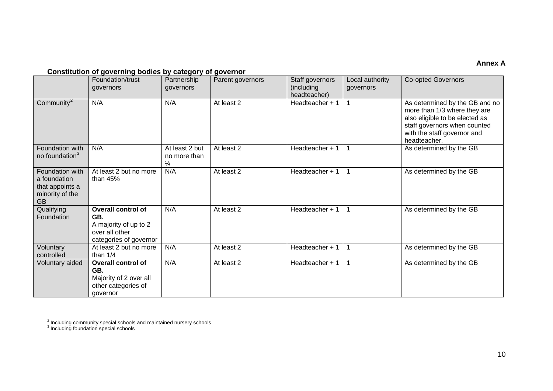## <span id="page-9-1"></span><span id="page-9-0"></span>**Annex A**

## **Constitution of governing bodies by category of governor**

|                                                                                    | Foundation/trust<br>governors                                                                         | Partnership<br>governors                        | Parent governors | Staff governors<br>(including<br>headteacher) | Local authority<br>governors | <b>Co-opted Governors</b>                                                                                                                                                       |
|------------------------------------------------------------------------------------|-------------------------------------------------------------------------------------------------------|-------------------------------------------------|------------------|-----------------------------------------------|------------------------------|---------------------------------------------------------------------------------------------------------------------------------------------------------------------------------|
| Community $^2$                                                                     | N/A                                                                                                   | N/A                                             | At least 2       | Headteacher + 1                               |                              | As determined by the GB and no<br>more than 1/3 where they are<br>also eligible to be elected as<br>staff governors when counted<br>with the staff governor and<br>headteacher. |
| Foundation with<br>no foundation <sup>3</sup>                                      | N/A                                                                                                   | At least 2 but<br>no more than<br>$\frac{1}{4}$ | At least 2       | Headteacher + 1                               |                              | As determined by the GB                                                                                                                                                         |
| Foundation with<br>a foundation<br>that appoints a<br>minority of the<br><b>GB</b> | At least 2 but no more<br>than $45%$                                                                  | N/A                                             | At least 2       | Headteacher + 1                               |                              | As determined by the GB                                                                                                                                                         |
| Qualifying<br>Foundation                                                           | <b>Overall control of</b><br>GB.<br>A majority of up to 2<br>over all other<br>categories of governor | N/A                                             | At least 2       | Headteacher + 1                               |                              | As determined by the GB                                                                                                                                                         |
| Voluntary<br>controlled                                                            | At least 2 but no more<br>than $1/4$                                                                  | N/A                                             | At least 2       | Headteacher + 1                               | -1                           | As determined by the GB                                                                                                                                                         |
| Voluntary aided                                                                    | <b>Overall control of</b><br>GB.<br>Majority of 2 over all<br>other categories of<br>governor         | N/A                                             | At least 2       | Headteacher + 1                               |                              | As determined by the GB                                                                                                                                                         |

 $\frac{2}{7}$  Including community special schools and maintained nursery schools

<sup>&</sup>lt;sup>3</sup> Including foundation special schools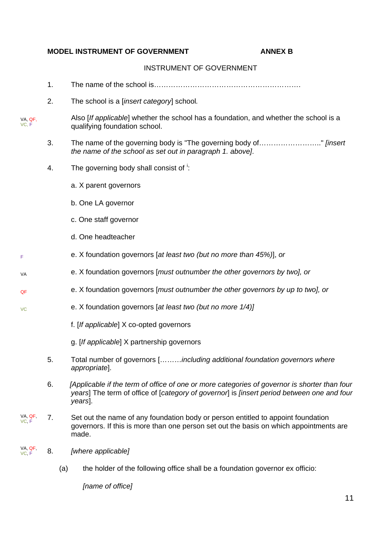#### **MODEL INSTRUMENT OF GOVERNMENT ANNEX B**

#### INSTRUMENT OF GOVERNMENT

- 1. The name of the school is…………………………………………………….
- 2. The school is a [*insert category*] school*.*
- VA, QF, VC, F Also [*If applicable*] whether the school has a foundation, and whether the school is a qualifying foundation school.
	- 3. The name of the governing body is "The governing body of…………………….." *[insert the name of the school as set out in paragraph 1. above]*.
	- 4. The govern[i](#page-11-0)ng body shall consist of  $\cdot$ :
		- a. X parent governors
		- b. One LA governor
		- c. One staff governor
		- d. One headteacher

VA

F

VC

- e. X foundation governors [*at least two (but no more than 45%)*], *or*
	- e. X foundation governors [*must outnumber the other governors by two], or*
- QF e. X foundation governors [*must outnumber the other governors by up to two], or* 
	- e. X foundation governors [*at least two (but no more 1/4)]*
		- f. [*If applicable*] X co-opted governors
		- g. [*If applicable*] X partnership governors
	- 5. Total number of governors [………*including additional foundation governors where appropriate*].
	- 6. *[Applicable if the term of office of one or more categories of governor is shorter than four years*] The term of office of [*category of governor*] is *[insert period between one and four years*].
- VA, QF, VC, F 7. Set out the name of any foundation body or person entitled to appoint foundation governors. If this is more than one person set out the basis on which appointments are made.
- VA, QF, VC, F 8. *[where applicable]*
	- (a) the holder of the following office shall be a foundation governor ex officio:

*[name of office]*